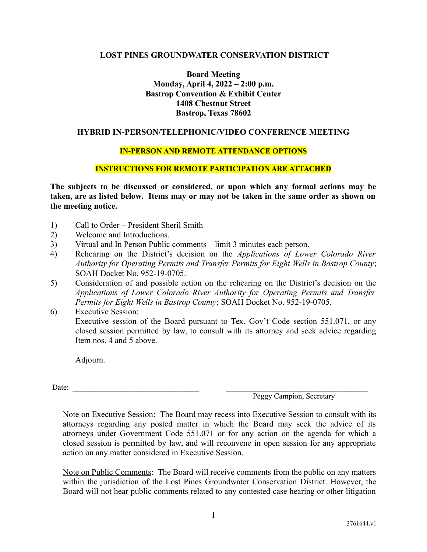## **LOST PINES GROUNDWATER CONSERVATION DISTRICT**

**Board Meeting Monday, April 4, 2022 – 2:00 p.m. Bastrop Convention & Exhibit Center 1408 Chestnut Street Bastrop, Texas 78602**

## **HYBRID IN-PERSON/TELEPHONIC/VIDEO CONFERENCE MEETING**

## **IN-PERSON AND REMOTE ATTENDANCE OPTIONS**

#### **INSTRUCTIONS FOR REMOTE PARTICIPATION ARE ATTACHED**

**The subjects to be discussed or considered, or upon which any formal actions may be taken, are as listed below. Items may or may not be taken in the same order as shown on the meeting notice.**

- 1) Call to Order President Sheril Smith
- 2) Welcome and Introductions.
- 3) Virtual and In Person Public comments limit 3 minutes each person.
- 4) Rehearing on the District's decision on the *Applications of Lower Colorado River Authority for Operating Permits and Transfer Permits for Eight Wells in Bastrop County*; SOAH Docket No. 952-19-0705.
- 5) Consideration of and possible action on the rehearing on the District's decision on the *Applications of Lower Colorado River Authority for Operating Permits and Transfer Permits for Eight Wells in Bastrop County*; SOAH Docket No. 952-19-0705.
- 6) Executive Session: Executive session of the Board pursuant to Tex. Gov't Code section 551.071, or any closed session permitted by law, to consult with its attorney and seek advice regarding Item nos. 4 and 5 above.

Adjourn.

Date: \_\_\_\_\_\_\_\_\_\_\_\_\_\_\_\_\_\_\_\_\_\_\_\_\_\_\_\_\_\_\_\_\_ \_\_\_\_\_\_\_\_\_\_\_\_\_\_\_\_\_\_\_\_\_\_\_\_\_\_\_\_\_\_\_\_\_\_\_\_\_

Peggy Campion, Secretary

Note on Executive Session: The Board may recess into Executive Session to consult with its attorneys regarding any posted matter in which the Board may seek the advice of its attorneys under Government Code 551.071 or for any action on the agenda for which a closed session is permitted by law, and will reconvene in open session for any appropriate action on any matter considered in Executive Session.

Note on Public Comments: The Board will receive comments from the public on any matters within the jurisdiction of the Lost Pines Groundwater Conservation District. However, the Board will not hear public comments related to any contested case hearing or other litigation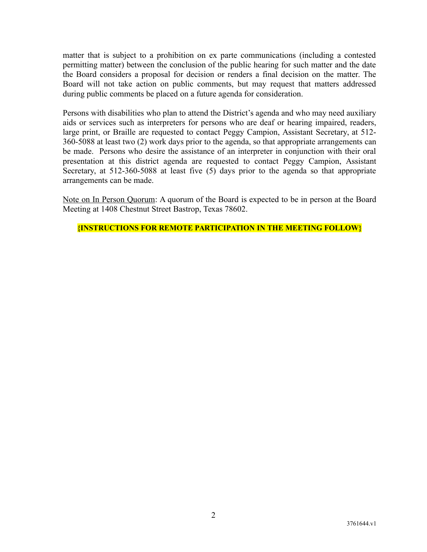matter that is subject to a prohibition on ex parte communications (including a contested permitting matter) between the conclusion of the public hearing for such matter and the date the Board considers a proposal for decision or renders a final decision on the matter. The Board will not take action on public comments, but may request that matters addressed during public comments be placed on a future agenda for consideration.

Persons with disabilities who plan to attend the District's agenda and who may need auxiliary aids or services such as interpreters for persons who are deaf or hearing impaired, readers, large print, or Braille are requested to contact Peggy Campion, Assistant Secretary, at 512- 360-5088 at least two (2) work days prior to the agenda, so that appropriate arrangements can be made. Persons who desire the assistance of an interpreter in conjunction with their oral presentation at this district agenda are requested to contact Peggy Campion, Assistant Secretary, at 512-360-5088 at least five (5) days prior to the agenda so that appropriate arrangements can be made.

Note on In Person Quorum: A quorum of the Board is expected to be in person at the Board Meeting at 1408 Chestnut Street Bastrop, Texas 78602.

**{INSTRUCTIONS FOR REMOTE PARTICIPATION IN THE MEETING FOLLOW}**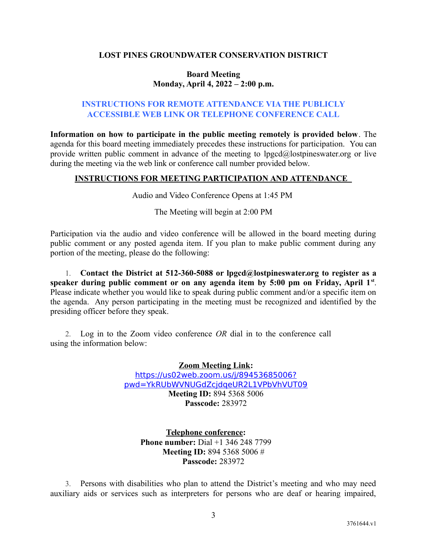# **LOST PINES GROUNDWATER CONSERVATION DISTRICT**

## **Board Meeting Monday, April 4, 2022 – 2:00 p.m.**

# **INSTRUCTIONS FOR REMOTE ATTENDANCE VIA THE PUBLICLY ACCESSIBLE WEB LINK OR TELEPHONE CONFERENCE CALL**

**Information on how to participate in the public meeting remotely is provided below**. The agenda for this board meeting immediately precedes these instructions for participation. You can provide written public comment in advance of the meeting to lpgcd@lostpineswater.org or live during the meeting via the web link or conference call number provided below.

# **INSTRUCTIONS FOR MEETING PARTICIPATION AND ATTENDANCE**

Audio and Video Conference Opens at 1:45 PM

The Meeting will begin at 2:00 PM

Participation via the audio and video conference will be allowed in the board meeting during public comment or any posted agenda item. If you plan to make public comment during any portion of the meeting, please do the following:

1. **Contact the District at 512-360-5088 or lpgcd@lostpineswater.org to register as a speaker during public comment or on any agenda item by 5:00 pm on Friday, April 1st** . Please indicate whether you would like to speak during public comment and/or a specific item on the agenda. Any person participating in the meeting must be recognized and identified by the presiding officer before they speak.

2. Log in to the Zoom video conference *OR* dial in to the conference call using the information below:

> **Zoom Meeting Link:** [https://us02web.zoom.us/j/89453685006?](https://us02web.zoom.us/j/89453685006?pwd=YkRUbWVNUGdZcjdqeUR2L1VPbVhVUT09) [pwd=YkRUbWVNUGdZcjdqeUR2L1VPbVhVUT09](https://us02web.zoom.us/j/89453685006?pwd=YkRUbWVNUGdZcjdqeUR2L1VPbVhVUT09) **Meeting ID:** 894 5368 5006 **Passcode:** 283972

**Telephone conference: Phone number:** Dial +1 346 248 7799 **Meeting ID:** 894 5368 5006 # **Passcode:** 283972

3. Persons with disabilities who plan to attend the District's meeting and who may need auxiliary aids or services such as interpreters for persons who are deaf or hearing impaired,